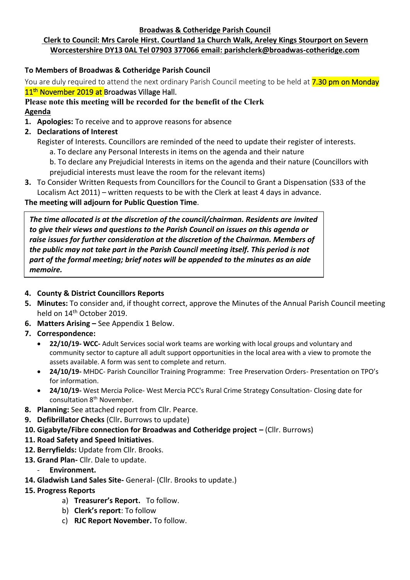#### **Broadwas & Cotheridge Parish Council**

# **Clerk to Council: Mrs Carole Hirst. Courtland 1a Church Walk, Areley Kings Stourport on Severn Worcestershire DY13 0AL Tel 07903 377066 email: parishclerk@broadwas-cotheridge.com**

## **To Members of Broadwas & Cotheridge Parish Council**

You are duly required to attend the next ordinary Parish Council meeting to be held at **7.30 pm on Monday** 11<sup>th</sup> November 2019 at Broadwas Village Hall.

# **Please note this meeting will be recorded for the benefit of the Clerk Agenda**

- **1. Apologies:** To receive and to approve reasons for absence
- **2. Declarations of Interest**
	- Register of Interests. Councillors are reminded of the need to update their register of interests.
		- a. To declare any Personal Interests in items on the agenda and their nature
		- b. To declare any Prejudicial Interests in items on the agenda and their nature (Councillors with prejudicial interests must leave the room for the relevant items)
- **3.** To Consider Written Requests from Councillors for the Council to Grant a Dispensation (S33 of the Localism Act 2011) – written requests to be with the Clerk at least 4 days in advance.

## **The meeting will adjourn for Public Question Time**.

*The time allocated is at the discretion of the council/chairman. Residents are invited to give their views and questions to the Parish Council on issues on this agenda or raise issues for further consideration at the discretion of the Chairman. Members of the public may not take part in the Parish Council meeting itself. This period is not part of the formal meeting; brief notes will be appended to the minutes as an aide memoire.*

### **4. County & District Councillors Reports**

- **5. Minutes:** To consider and, if thought correct, approve the Minutes of the Annual Parish Council meeting held on 14<sup>th</sup> October 2019.
- **6. Matters Arising –** See Appendix 1 Below.
- **7. Correspondence:**
	- **22/10/19- WCC-** Adult Services social work teams are working with local groups and voluntary and community sector to capture all adult support opportunities in the local area with a view to promote the assets available. A form was sent to complete and return.
	- **24/10/19-** MHDC- Parish Councillor Training Programme: Tree Preservation Orders- Presentation on TPO's for information.
	- **24/10/19-** West Mercia Police- West Mercia PCC's Rural Crime Strategy Consultation- Closing date for consultation 8<sup>th</sup> November.
- **8. Planning:** See attached report from Cllr. Pearce.
- **9. Defibrillator Checks** (Cllr**.** Burrows to update)
- **10. Gigabyte/Fibre connection for Broadwas and Cotheridge project –** (Cllr. Burrows)
- **11. Road Safety and Speed Initiatives**.
- **12. Berryfields:** Update from Cllr. Brooks.
- **13. Grand Plan-** Cllr. Dale to update.
	- **Environment.**
- **14. Gladwish Land Sales Site-** General- (Cllr. Brooks to update.)

### **15. Progress Reports**

- a) **Treasurer's Report.** To follow.
- b) **Clerk's report**: To follow
- c) **RJC Report November.** To follow.